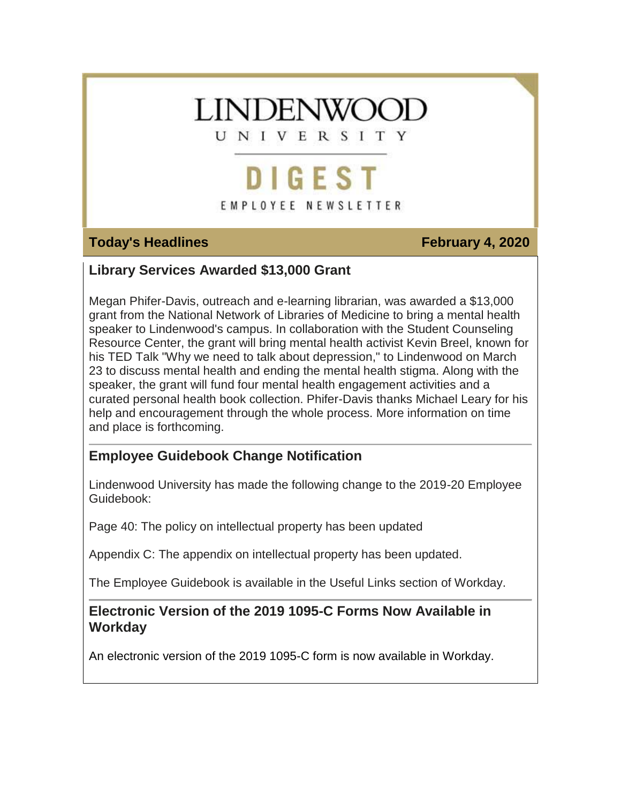## **LINDENWOC**

UNIVERSITY

## DIGEST

#### EMPLOYEE NEWSLETTER

#### **Today's Headlines February 4, 2020**

#### **Library Services Awarded \$13,000 Grant**

Megan Phifer-Davis, outreach and e-learning librarian, was awarded a \$13,000 grant from the National Network of Libraries of Medicine to bring a mental health speaker to Lindenwood's campus. In collaboration with the Student Counseling Resource Center, the grant will bring mental health activist Kevin Breel, known for his TED Talk "Why we need to talk about depression," to Lindenwood on March 23 to discuss mental health and ending the mental health stigma. Along with the speaker, the grant will fund four mental health engagement activities and a curated personal health book collection. Phifer-Davis thanks Michael Leary for his help and encouragement through the whole process. More information on time and place is forthcoming.

#### **Employee Guidebook Change Notification**

Lindenwood University has made the following change to the 2019-20 Employee Guidebook:

Page 40: The policy on intellectual property has been updated

Appendix C: The appendix on intellectual property has been updated.

The Employee Guidebook is available in the Useful Links section of Workday.

#### **Electronic Version of the 2019 1095-C Forms Now Available in Workday**

An electronic version of the 2019 1095-C form is now available in Workday.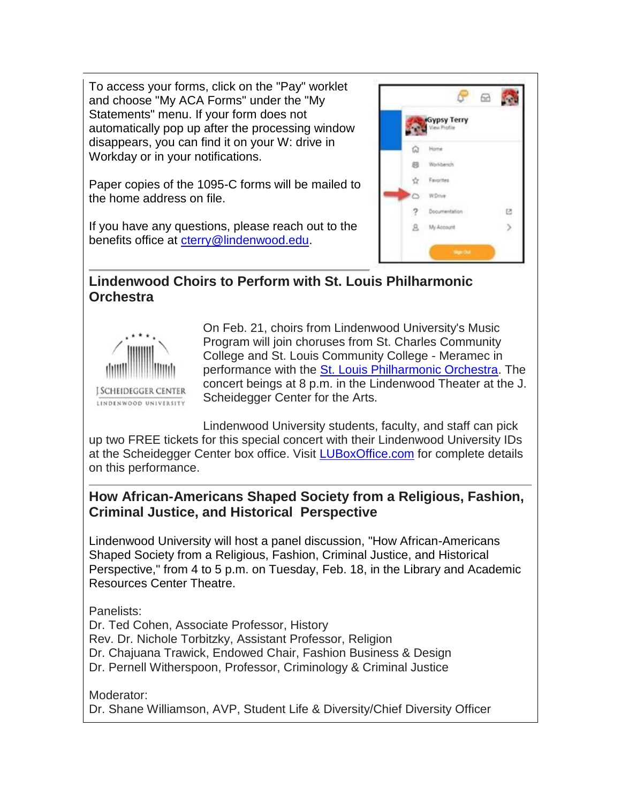To access your forms, click on the "Pay" worklet and choose "My ACA Forms" under the "My Statements" menu. If your form does not automatically pop up after the processing window disappears, you can find it on your W: drive in Workday or in your notifications.

Paper copies of the 1095-C forms will be mailed to the home address on file.

If you have any questions, please reach out to the benefits office at [cterry@lindenwood.edu.](mailto:cterry@lindenwood.edu)



#### **Lindenwood Choirs to Perform with St. Louis Philharmonic Orchestra**



On Feb. 21, choirs from Lindenwood University's Music Program will join choruses from St. Charles Community College and St. Louis Community College - Meramec in performance with the [St. Louis Philharmonic Orchestra.](https://hes32-ctp.trendmicro.com/wis/clicktime/v1/query?url=https%3a%2f%2fcustapp.marketvolt.com%2flink%2fDhWYlooNAw%3fCM%3d1458424455%26X%3d70525052&umid=936f5c10-19b5-454e-9ea7-ce2d41dbfea3&auth=bc7ac43e330fa629f0cfb11786c85e83c10d06b8-3d780213d14b6717225c94608a3bece201b3946e) The concert beings at 8 p.m. in the Lindenwood Theater at the J. Scheidegger Center for the Arts.

Lindenwood University students, faculty, and staff can pick up two FREE tickets for this special concert with their Lindenwood University IDs at the Scheidegger Center box office. Visit [LUBoxOffice.com](https://hes32-ctp.trendmicro.com/wis/clicktime/v1/query?url=https%3a%2f%2fcustapp.marketvolt.com%2flink%2f9oG6pbi64I%3fCM%3d1458424455%26X%3d70525052&umid=936f5c10-19b5-454e-9ea7-ce2d41dbfea3&auth=bc7ac43e330fa629f0cfb11786c85e83c10d06b8-27f8c921f3c4ac39121145c9a96098b37a1df8ed) for complete details on this performance.

#### **How African-Americans Shaped Society from a Religious, Fashion, Criminal Justice, and Historical Perspective**

Lindenwood University will host a panel discussion, "How African-Americans Shaped Society from a Religious, Fashion, Criminal Justice, and Historical Perspective," from 4 to 5 p.m. on Tuesday, Feb. 18, in the Library and Academic Resources Center Theatre.

Panelists:

Dr. Ted Cohen, Associate Professor, History Rev. Dr. Nichole Torbitzky, Assistant Professor, Religion Dr. Chajuana Trawick, Endowed Chair, Fashion Business & Design Dr. Pernell Witherspoon, Professor, Criminology & Criminal Justice

Moderator: Dr. Shane Williamson, AVP, Student Life & Diversity/Chief Diversity Officer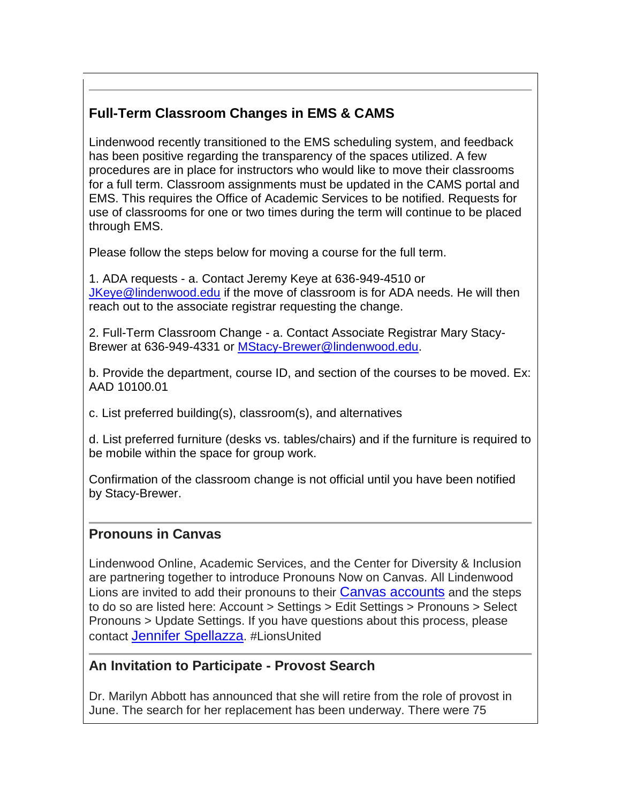### **Full-Term Classroom Changes in EMS & CAMS**

Lindenwood recently transitioned to the EMS scheduling system, and feedback has been positive regarding the transparency of the spaces utilized. A few procedures are in place for instructors who would like to move their classrooms for a full term. Classroom assignments must be updated in the CAMS portal and EMS. This requires the Office of Academic Services to be notified. Requests for use of classrooms for one or two times during the term will continue to be placed through EMS.

Please follow the steps below for moving a course for the full term.

1. ADA requests - a. Contact Jeremy Keye at 636-949-4510 or [JKeye@lindenwood.edu](mailto:JKeye@lindenwood.edu) if the move of classroom is for ADA needs. He will then reach out to the associate registrar requesting the change.

2. Full-Term Classroom Change - a. Contact Associate Registrar Mary Stacy-Brewer at 636-949-4331 or [MStacy-Brewer@lindenwood.edu.](mailto:MStacy-Brewer@lindenwood.edu)

b. Provide the department, course ID, and section of the courses to be moved. Ex: AAD 10100.01

c. List preferred building(s), classroom(s), and alternatives

d. List preferred furniture (desks vs. tables/chairs) and if the furniture is required to be mobile within the space for group work.

Confirmation of the classroom change is not official until you have been notified by Stacy-Brewer.

#### **Pronouns in Canvas**

Lindenwood Online, Academic Services, and the Center for Diversity & Inclusion are partnering together to introduce Pronouns Now on Canvas. All Lindenwood Lions are invited to add their pronouns to their [Canvas accounts](https://hes32-ctp.trendmicro.com/wis/clicktime/v1/query?url=https%3a%2f%2fcustapp.marketvolt.com%2flink%2fbFpohLEpAz%3fCM%3d1458424455%26X%3d70525052&umid=936f5c10-19b5-454e-9ea7-ce2d41dbfea3&auth=bc7ac43e330fa629f0cfb11786c85e83c10d06b8-df0106e1063702d1d1d17c30bc757d219727999a) and the steps to do so are listed here: Account > Settings > Edit Settings > Pronouns > Select Pronouns > Update Settings. If you have questions about this process, please contact [Jennifer Spellazza](mailto:jspellazza@lindenwood.edu). #LionsUnited

#### **An Invitation to Participate - Provost Search**

Dr. Marilyn Abbott has announced that she will retire from the role of provost in June. The search for her replacement has been underway. There were 75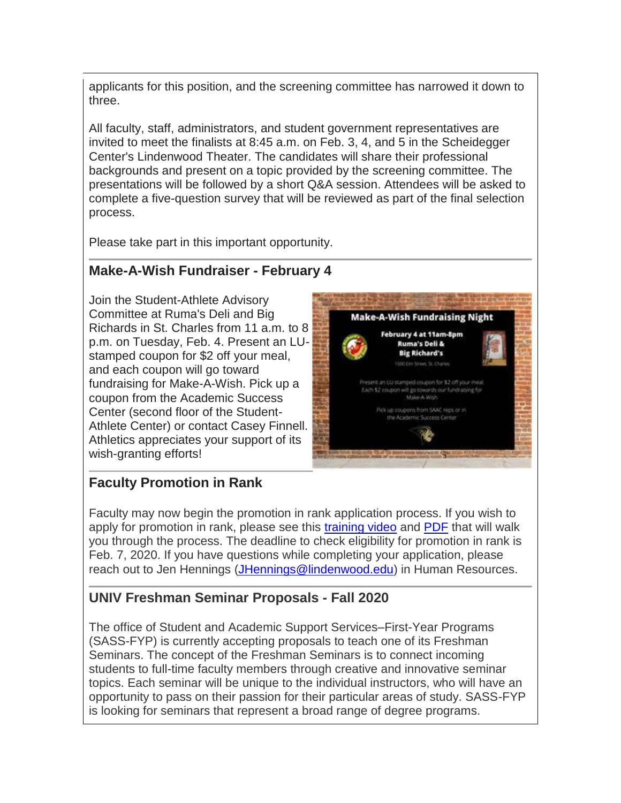applicants for this position, and the screening committee has narrowed it down to three.

All faculty, staff, administrators, and student government representatives are invited to meet the finalists at 8:45 a.m. on Feb. 3, 4, and 5 in the Scheidegger Center's Lindenwood Theater. The candidates will share their professional backgrounds and present on a topic provided by the screening committee. The presentations will be followed by a short Q&A session. Attendees will be asked to complete a five-question survey that will be reviewed as part of the final selection process.

Please take part in this important opportunity.

#### **Make-A-Wish Fundraiser - February 4**

Join the Student-Athlete Advisory Committee at Ruma's Deli and Big Richards in St. Charles from 11 a.m. to 8 p.m. on Tuesday, Feb. 4. Present an LUstamped coupon for \$2 off your meal, and each coupon will go toward fundraising for Make-A-Wish. Pick up a coupon from the Academic Success Center (second floor of the Student-Athlete Center) or contact Casey Finnell. Athletics appreciates your support of its wish-granting efforts!



#### **Faculty Promotion in Rank**

Faculty may now begin the promotion in rank application process. If you wish to apply for promotion in rank, please see this [training video](https://hes32-ctp.trendmicro.com/wis/clicktime/v1/query?url=https%3a%2f%2fcustapp.marketvolt.com%2flink%2fNssTDthA1F%3fCM%3d1458424455%26X%3d70525052&umid=936f5c10-19b5-454e-9ea7-ce2d41dbfea3&auth=bc7ac43e330fa629f0cfb11786c85e83c10d06b8-1853673a59b4866b03bd958c594bbc1aac1d051e) and [PDF](https://hes32-ctp.trendmicro.com/wis/clicktime/v1/query?url=https%3a%2f%2fcustapp.marketvolt.com%2flink%2foF3nkE47he%3fCM%3d1458424455%26X%3d70525052&umid=936f5c10-19b5-454e-9ea7-ce2d41dbfea3&auth=bc7ac43e330fa629f0cfb11786c85e83c10d06b8-891a47eacc69e02341cbb92e880d0238e6b1381c) that will walk you through the process. The deadline to check eligibility for promotion in rank is Feb. 7, 2020. If you have questions while completing your application, please reach out to Jen Hennings [\(JHennings@lindenwood.edu\)](mailto:JHennings@lindenwood.edu) in Human Resources.

#### **UNIV Freshman Seminar Proposals - Fall 2020**

The office of Student and Academic Support Services–First-Year Programs (SASS-FYP) is currently accepting proposals to teach one of its Freshman Seminars. The concept of the Freshman Seminars is to connect incoming students to full-time faculty members through creative and innovative seminar topics. Each seminar will be unique to the individual instructors, who will have an opportunity to pass on their passion for their particular areas of study. SASS-FYP is looking for seminars that represent a broad range of degree programs.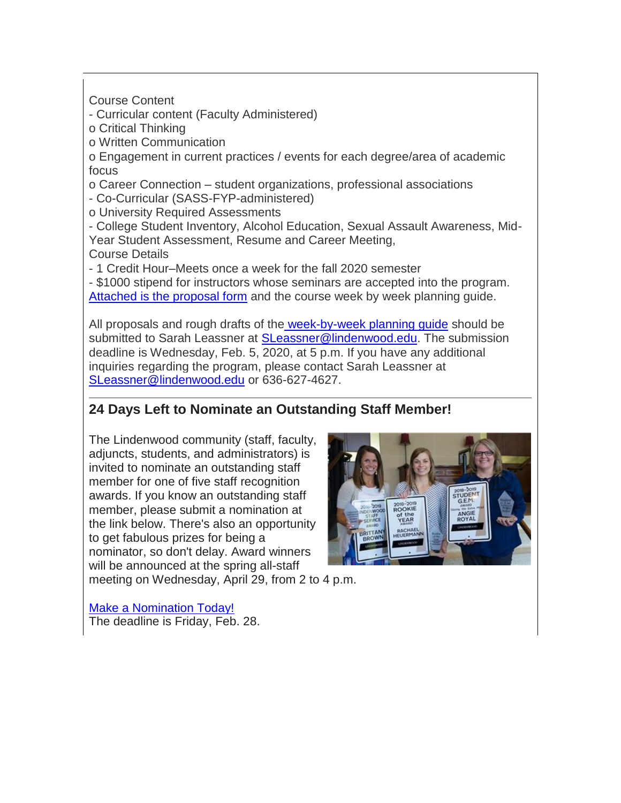Course Content

- Curricular content (Faculty Administered)

o Critical Thinking

o Written Communication

o Engagement in current practices / events for each degree/area of academic focus

o Career Connection – student organizations, professional associations

- Co-Curricular (SASS-FYP-administered)

o University Required Assessments - College Student Inventory, Alcohol Education, Sexual Assault Awareness, Mid-

Year Student Assessment, Resume and Career Meeting,

Course Details

- 1 Credit Hour–Meets once a week for the fall 2020 semester

- \$1000 stipend for instructors whose seminars are accepted into the program. [Attached is the proposal form](https://hes32-ctp.trendmicro.com/wis/clicktime/v1/query?url=https%3a%2f%2fcustapp.marketvolt.com%2flink%2faSFNi3dfKd%3fCM%3d1458424455%26X%3d70525052&umid=936f5c10-19b5-454e-9ea7-ce2d41dbfea3&auth=bc7ac43e330fa629f0cfb11786c85e83c10d06b8-8dad431242bba66b49104d1585701c6dc1b3d7b0) and the course week by week planning guide.

All proposals and rough drafts of the [week-by-week planning guide](https://hes32-ctp.trendmicro.com/wis/clicktime/v1/query?url=https%3a%2f%2fcustapp.marketvolt.com%2flink%2fT38BIPHxfb%3fCM%3d1458424455%26X%3d70525052&umid=936f5c10-19b5-454e-9ea7-ce2d41dbfea3&auth=bc7ac43e330fa629f0cfb11786c85e83c10d06b8-ff97025185a9a6ff2423c5990529a7dd8261f943) should be submitted to Sarah Leassner at [SLeassner@lindenwood.edu.](mailto:SLeassner@lindenwood.edu) The submission deadline is Wednesday, Feb. 5, 2020, at 5 p.m. If you have any additional inquiries regarding the program, please contact Sarah Leassner at [SLeassner@lindenwood.edu](mailto:SLeassner@lindenwood.edu) or 636-627-4627.

#### **24 Days Left to Nominate an Outstanding Staff Member!**

The Lindenwood community (staff, faculty, adjuncts, students, and administrators) is invited to nominate an outstanding staff member for one of five staff recognition awards. If you know an outstanding staff member, please submit a nomination at the link below. There's also an opportunity to get fabulous prizes for being a nominator, so don't delay. Award winners will be announced at the spring all-staff meeting on Wednesday, April 29, from 2 to 4 p.m.



[Make a Nomination Today!](https://hes32-ctp.trendmicro.com/wis/clicktime/v1/query?url=https%3a%2f%2fcustapp.marketvolt.com%2flink%2fy8rhcwuHi8%3fCM%3d1458424455%26X%3d70525052&umid=936f5c10-19b5-454e-9ea7-ce2d41dbfea3&auth=bc7ac43e330fa629f0cfb11786c85e83c10d06b8-f8ad838580f5442290ac04c05d9e26579a0b5695) The deadline is Friday, Feb. 28.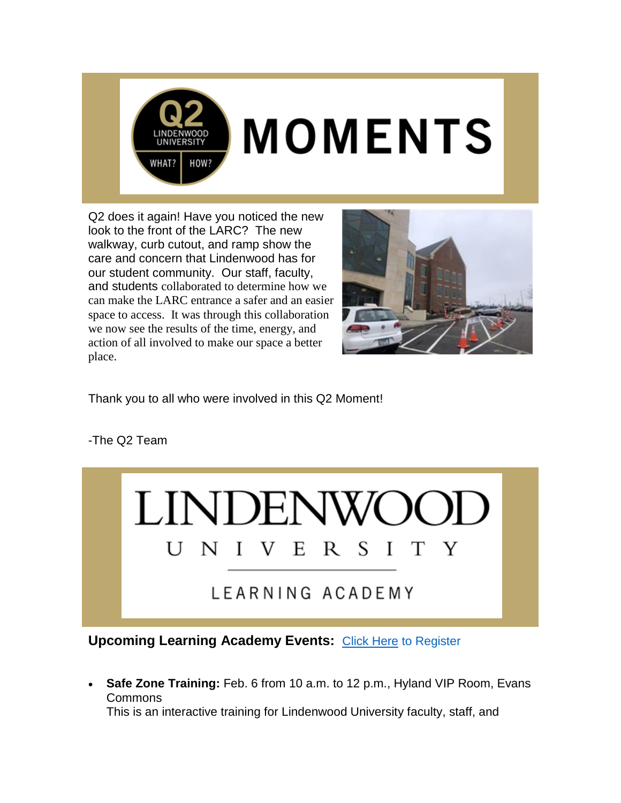

# **MOMENTS**

Q2 does it again! Have you noticed the new look to the front of the LARC? The new walkway, curb cutout, and ramp show the care and concern that Lindenwood has for our student community. Our staff, faculty, and students collaborated to determine how we can make the LARC entrance a safer and an easier space to access. It was through this collaboration we now see the results of the time, energy, and action of all involved to make our space a better place.



Thank you to all who were involved in this Q2 Moment!

-The Q2 Team



**Upcoming Learning Academy Events: [Click Here](https://hes32-ctp.trendmicro.com/wis/clicktime/v1/query?url=https%3a%2f%2fcustapp.marketvolt.com%2flink%2fi4nCFQlFFF%3fCM%3d1458424455%26X%3d70525052&umid=936f5c10-19b5-454e-9ea7-ce2d41dbfea3&auth=bc7ac43e330fa629f0cfb11786c85e83c10d06b8-e52db75ee8b297663998e911db6f74b46f9d38d9) to Register** 

 **Safe Zone Training:** Feb. 6 from 10 a.m. to 12 p.m., Hyland VIP Room, Evans Commons This is an interactive training for Lindenwood University faculty, staff, and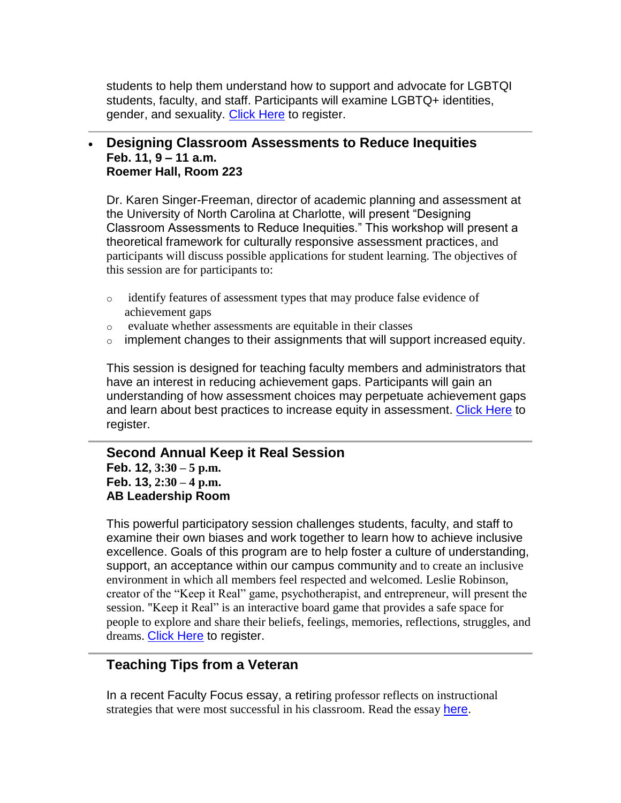students to help them understand how to support and advocate for LGBTQI students, faculty, and staff. Participants will examine LGBTQ+ identities, gender, and sexuality. [Click Here](https://hes32-ctp.trendmicro.com/wis/clicktime/v1/query?url=https%3a%2f%2fcustapp.marketvolt.com%2flink%2fsgohKpLUP5%3fCM%3d1458424455%26X%3d70525052&umid=936f5c10-19b5-454e-9ea7-ce2d41dbfea3&auth=bc7ac43e330fa629f0cfb11786c85e83c10d06b8-41c24423a3893a92d547fb123a17c102823c71bb) to register.

#### **Designing Classroom Assessments to Reduce Inequities Feb. 11, 9 – 11 a.m. Roemer Hall, Room 223**

Dr. Karen Singer-Freeman, director of academic planning and assessment at the University of North Carolina at Charlotte, will present "Designing Classroom Assessments to Reduce Inequities." This workshop will present a theoretical framework for culturally responsive assessment practices, and participants will discuss possible applications for student learning. The objectives of this session are for participants to:

- o identify features of assessment types that may produce false evidence of achievement gaps
- o evaluate whether assessments are equitable in their classes
- $\circ$  implement changes to their assignments that will support increased equity.

This session is designed for teaching faculty members and administrators that have an interest in reducing achievement gaps. Participants will gain an understanding of how assessment choices may perpetuate achievement gaps and learn about best practices to increase equity in assessment. [Click Here](https://hes32-ctp.trendmicro.com/wis/clicktime/v1/query?url=https%3a%2f%2fcustapp.marketvolt.com%2flink%2f9YofUNwcCb%3fCM%3d1458424455%26X%3d70525052&umid=936f5c10-19b5-454e-9ea7-ce2d41dbfea3&auth=bc7ac43e330fa629f0cfb11786c85e83c10d06b8-58a9b11631e706afde3ac6af3c21711f4b1adf1b) to register.

#### **Second Annual Keep it Real Session Feb. 12, 3:30 – 5 p.m. Feb. 13, 2:30 – 4 p.m. AB Leadership Room**

This powerful participatory session challenges students, faculty, and staff to examine their own biases and work together to learn how to achieve inclusive excellence. Goals of this program are to help foster a culture of understanding, support, an acceptance within our campus community and to create an inclusive environment in which all members feel respected and welcomed. Leslie Robinson, creator of the "Keep it Real" game, psychotherapist, and entrepreneur, will present the session. "Keep it Real" is an interactive board game that provides a safe space for people to explore and share their beliefs, feelings, memories, reflections, struggles, and dreams. [Click Here](https://hes32-ctp.trendmicro.com/wis/clicktime/v1/query?url=https%3a%2f%2fcustapp.marketvolt.com%2flink%2fi4nCFQlFFF%3fCM%3d1458424455%26X%3d70525052&umid=936f5c10-19b5-454e-9ea7-ce2d41dbfea3&auth=bc7ac43e330fa629f0cfb11786c85e83c10d06b8-e52db75ee8b297663998e911db6f74b46f9d38d9) to register.

#### **Teaching Tips from a Veteran**

In a recent Faculty Focus essay, a retiring professor reflects on instructional strategies that were most successful in his classroom. Read the essay [here.](https://hes32-ctp.trendmicro.com/wis/clicktime/v1/query?url=https%3a%2f%2fcustapp.marketvolt.com%2flink%2f8RFylbZMvY%3fCM%3d1458424455%26X%3d70525052&umid=936f5c10-19b5-454e-9ea7-ce2d41dbfea3&auth=bc7ac43e330fa629f0cfb11786c85e83c10d06b8-7464be695a8a8c567ce124002dbc3d735378bb32)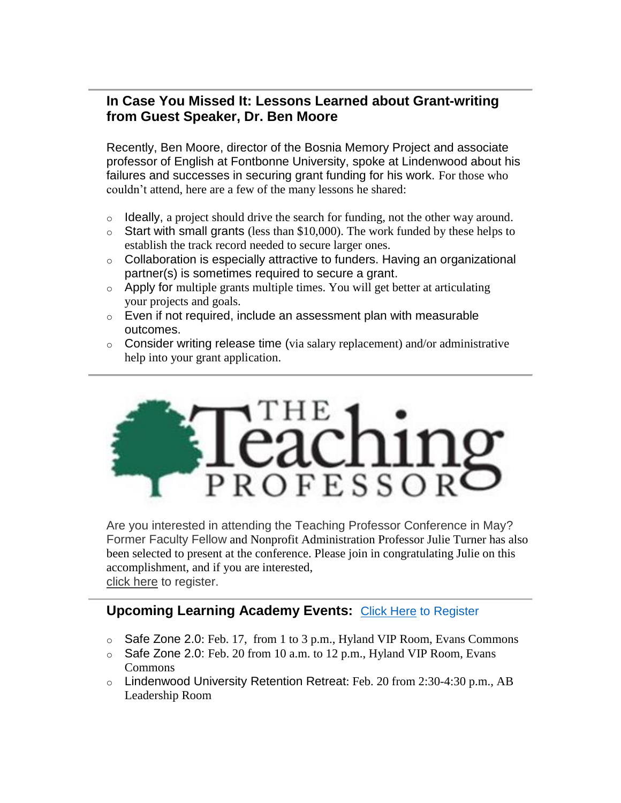#### **In Case You Missed It: Lessons Learned about Grant-writing from Guest Speaker, Dr. Ben Moore**

Recently, Ben Moore, director of the Bosnia Memory Project and associate professor of English at Fontbonne University, spoke at Lindenwood about his failures and successes in securing grant funding for his work. For those who couldn't attend, here are a few of the many lessons he shared:

- o Ideally, a project should drive the search for funding, not the other way around.
- $\circ$  Start with small grants (less than \$10,000). The work funded by these helps to establish the track record needed to secure larger ones.
- $\circ$  Collaboration is especially attractive to funders. Having an organizational partner(s) is sometimes required to secure a grant.
- o Apply for multiple grants multiple times. You will get better at articulating your projects and goals.
- $\circ$  Even if not required, include an assessment plan with measurable outcomes.
- o Consider writing release time (via salary replacement) and/or administrative help into your grant application.



Are you interested in attending the Teaching Professor Conference in May? Former Faculty Fellow and Nonprofit Administration Professor Julie Turner has also been selected to present at the conference. Please join in congratulating Julie on this accomplishment, and if you are interested, [click here](https://hes32-ctp.trendmicro.com/wis/clicktime/v1/query?url=https%3a%2f%2fcustapp.marketvolt.com%2flink%2fpu3EiBV866%3fCM%3d1458424455%26X%3d70525052&umid=936f5c10-19b5-454e-9ea7-ce2d41dbfea3&auth=bc7ac43e330fa629f0cfb11786c85e83c10d06b8-d1c7d0da38b7f326d7d52b2513d8b5739bbd99f2) to register.

#### **Upcoming Learning Academy Events: [Click Here](https://hes32-ctp.trendmicro.com/wis/clicktime/v1/query?url=https%3a%2f%2fcustapp.marketvolt.com%2flink%2fi4nCFQlFFF%3fCM%3d1458424455%26X%3d70525052&umid=936f5c10-19b5-454e-9ea7-ce2d41dbfea3&auth=bc7ac43e330fa629f0cfb11786c85e83c10d06b8-e52db75ee8b297663998e911db6f74b46f9d38d9) to Register**

- o Safe Zone 2.0: Feb. 17, from 1 to 3 p.m., Hyland VIP Room, Evans Commons
- o Safe Zone 2.0: Feb. 20 from 10 a.m. to 12 p.m., Hyland VIP Room, Evans Commons
- o Lindenwood University Retention Retreat: Feb. 20 from 2:30-4:30 p.m., AB Leadership Room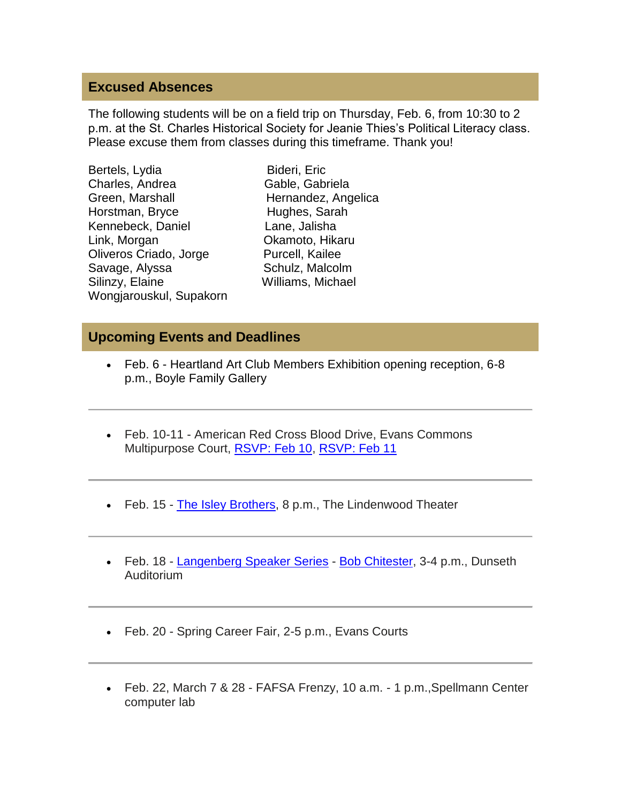#### **Excused Absences**

The following students will be on a field trip on Thursday, Feb. 6, from 10:30 to 2 p.m. at the St. Charles Historical Society for Jeanie Thies's Political Literacy class. Please excuse them from classes during this timeframe. Thank you!

Bideri, Eric Gable, Gabriela Hernandez, Angelica Hughes, Sarah Lane, Jalisha Okamoto, Hikaru Purcell, Kailee Schulz, Malcolm Williams, Michael

#### **Upcoming Events and Deadlines**

- Feb. 6 Heartland Art Club Members Exhibition opening reception, 6-8 p.m., Boyle Family Gallery
- Feb. 10-11 American Red Cross Blood Drive, Evans Commons Multipurpose Court, [RSVP: Feb 10,](https://hes32-ctp.trendmicro.com/wis/clicktime/v1/query?url=https%3a%2f%2fcustapp.marketvolt.com%2flink%2fkXg9Hxr7tf%3fCM%3d1458424455%26X%3d70525052&umid=936f5c10-19b5-454e-9ea7-ce2d41dbfea3&auth=bc7ac43e330fa629f0cfb11786c85e83c10d06b8-64b5ed0a255cf61e6b94cebd2f7c7c122c15ee48) [RSVP: Feb 11](https://hes32-ctp.trendmicro.com/wis/clicktime/v1/query?url=https%3a%2f%2fcustapp.marketvolt.com%2flink%2famW6FgRT8b%3fCM%3d1458424455%26X%3d70525052&umid=936f5c10-19b5-454e-9ea7-ce2d41dbfea3&auth=bc7ac43e330fa629f0cfb11786c85e83c10d06b8-be246271045e37a1ece5f135dd6c8e3f5acb7d5a)
- Feb. 15 [The Isley Brothers,](https://hes32-ctp.trendmicro.com/wis/clicktime/v1/query?url=https%3a%2f%2fcustapp.marketvolt.com%2flink%2f8ZBeVoQ6ua%3fCM%3d1458424455%26X%3d70525052&umid=936f5c10-19b5-454e-9ea7-ce2d41dbfea3&auth=bc7ac43e330fa629f0cfb11786c85e83c10d06b8-226f98e1e6e3b632c42146ece794c6e2c2881bc7) 8 p.m., The Lindenwood Theater
- Feb. 18 [Langenberg](https://hes32-ctp.trendmicro.com/wis/clicktime/v1/query?url=https%3a%2f%2fcustapp.marketvolt.com%2flink%2fpLfPsofqpo%3fCM%3d1458424455%26X%3d70525052&umid=936f5c10-19b5-454e-9ea7-ce2d41dbfea3&auth=bc7ac43e330fa629f0cfb11786c85e83c10d06b8-ef4776352bbd1d64c48ea9d4be76a13964f9bdc0) Speaker Series [Bob Chitester,](https://hes32-ctp.trendmicro.com/wis/clicktime/v1/query?url=https%3a%2f%2fcustapp.marketvolt.com%2flink%2fLSbVgouzon%3fCM%3d1458424455%26X%3d70525052&umid=936f5c10-19b5-454e-9ea7-ce2d41dbfea3&auth=bc7ac43e330fa629f0cfb11786c85e83c10d06b8-d31f9c1fa880801d87d0289662177fcfaf5e023b) 3-4 p.m., Dunseth Auditorium
- Feb. 20 Spring Career Fair, 2-5 p.m., Evans Courts
- Feb. 22, March 7 & 28 FAFSA Frenzy, 10 a.m. 1 p.m.,Spellmann Center computer lab